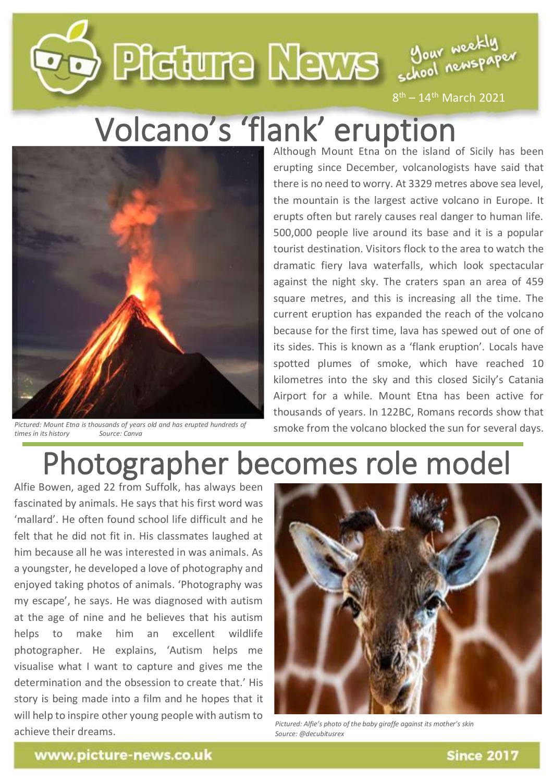

 $8<sup>th</sup> - 14<sup>th</sup>$  March 2021

## Volcano's 'flank' eruption



*Pictured: Mount Etna is thousands of years old and has erupted hundreds of*   $times$  *in its history* 

Although Mount Etna on the island of Sicily has been erupting since December, volcanologists have said that there is no need to worry. At 3329 metres above sea level, the mountain is the largest active volcano in Europe. It erupts often but rarely causes real danger to human life. 500,000 people live around its base and it is a popular tourist destination. Visitors flock to the area to watch the dramatic fiery lava waterfalls, which look spectacular against the night sky. The craters span an area of 459 square metres, and this is increasing all the time. The current eruption has expanded the reach of the volcano because for the first time, lava has spewed out of one of its sides. This is known as a 'flank eruption'. Locals have spotted plumes of smoke, which have reached 10 kilometres into the sky and this closed Sicily's Catania Airport for a while. Mount Etna has been active for thousands of years. In 122BC, Romans records show that smoke from the volcano blocked the sun for several days.

## Photographer becomes role model

Alfie Bowen, aged 22 from Suffolk, has always been fascinated by animals. He says that his first word was 'mallard'. He often found school life difficult and he felt that he did not fit in. His classmates laughed at him because all he was interested in was animals. As a youngster, he developed a love of photography and enjoyed taking photos of animals. 'Photography was my escape', he says. He was diagnosed with autism at the age of nine and he believes that his autism helps to make him an excellent wildlife photographer. He explains, 'Autism helps me visualise what I want to capture and gives me the determination and the obsession to create that.' His story is being made into a film and he hopes that it will help to inspire other young people with autism to achieve their dreams.



*Pictured: Alfie's photo of the baby giraffe against its mother's skin Source: @decubitusrex*